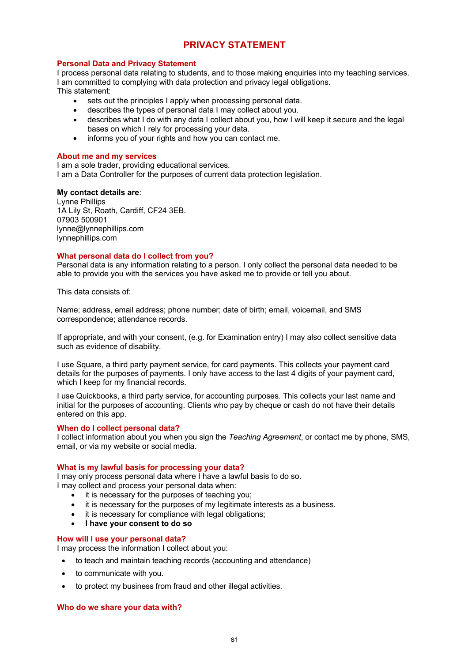# **PRIVACY STATEMENT**

# **Personal Data and Privacy Statement**

I process personal data relating to students, and to those making enquiries into my teaching services. I am committed to complying with data protection and privacy legal obligations.

This statement:

- sets out the principles I apply when processing personal data.
- describes the types of personal data I may collect about you.
- describes what I do with any data I collect about you, how I will keep it secure and the legal bases on which I rely for processing your data.
- informs you of your rights and how you can contact me.

# **About me and my services**

I am a sole trader, providing educational services*.* I am a Data Controller for the purposes of current data protection legislation.

# **My contact details are**:

Lynne Phillips 1A Lily St, Roath, Cardiff, CF24 3EB. 07903 500901 lynne@lynnephillips.com lynnephillips.com

# **What personal data do I collect from you?**

Personal data is any information relating to a person. I only collect the personal data needed to be able to provide you with the services you have asked me to provide or tell you about.

This data consists of:

Name; address, email address; phone number; date of birth; email, voicemail, and SMS correspondence; attendance records.

If appropriate, and with your consent, (e.g. for Examination entry) I may also collect sensitive data such as evidence of disability.

I use Square, a third party payment service, for card payments. This collects your payment card details for the purposes of payments. I only have access to the last 4 digits of your payment card, which I keep for my financial records.

I use Quickbooks, a third party service, for accounting purposes. This collects your last name and initial for the purposes of accounting. Clients who pay by cheque or cash do not have their details entered on this app.

# **When do I collect personal data?**

I collect information about you when you sign the *Teaching Agreement*, or contact me by phone, SMS, email, or via my website or social media.

# **What is my lawful basis for processing your data?**

I may only process personal data where I have a lawful basis to do so. I may collect and process your personal data when:

- it is necessary for the purposes of teaching you;
- it is necessary for the purposes of my legitimate interests as a business.
- it is necessary for compliance with legal obligations;
- **I have your consent to do so**

# **How will I use your personal data?**

I may process the information I collect about you:

- to teach and maintain teaching records (accounting and attendance)
- to communicate with you.
- to protect my business from fraud and other illegal activities.

# **Who do we share your data with?**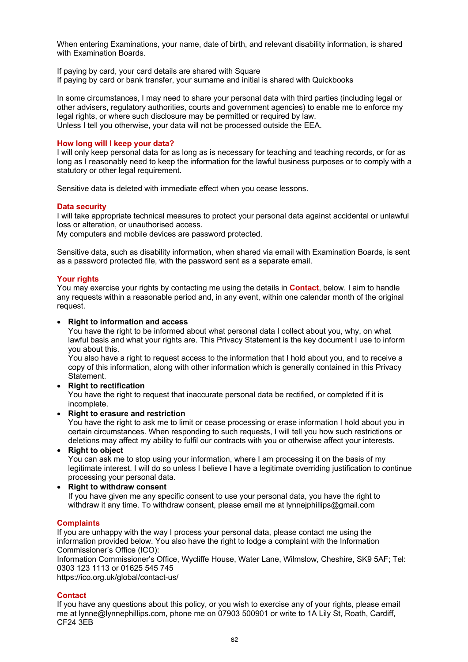When entering Examinations, your name, date of birth, and relevant disability information, is shared with Examination Boards.

If paying by card, your card details are shared with Square If paying by card or bank transfer, your surname and initial is shared with Quickbooks

In some circumstances, I may need to share your personal data with third parties (including legal or other advisers, regulatory authorities, courts and government agencies) to enable me to enforce my legal rights, or where such disclosure may be permitted or required by law. Unless I tell you otherwise, your data will not be processed outside the EEA.

# **How long will I keep your data?**

I will only keep personal data for as long as is necessary for teaching and teaching records, or for as long as I reasonably need to keep the information for the lawful business purposes or to comply with a statutory or other legal requirement.

Sensitive data is deleted with immediate effect when you cease lessons.

# **Data security**

I will take appropriate technical measures to protect your personal data against accidental or unlawful loss or alteration, or unauthorised access.

My computers and mobile devices are password protected.

Sensitive data, such as disability information, when shared via email with Examination Boards, is sent as a password protected file, with the password sent as a separate email.

# **Your rights**

You may exercise your rights by contacting me using the details in **Contact**, below. I aim to handle any requests within a reasonable period and, in any event, within one calendar month of the original request.

#### • **Right to information and access**

You have the right to be informed about what personal data I collect about you, why, on what lawful basis and what your rights are. This Privacy Statement is the key document I use to inform you about this.

You also have a right to request access to the information that I hold about you, and to receive a copy of this information, along with other information which is generally contained in this Privacy **Statement** 

• **Right to rectification**

You have the right to request that inaccurate personal data be rectified, or completed if it is incomplete.

#### • **Right to erasure and restriction**

You have the right to ask me to limit or cease processing or erase information I hold about you in certain circumstances. When responding to such requests, I will tell you how such restrictions or deletions may affect my ability to fulfil our contracts with you or otherwise affect your interests.

• **Right to object** 

You can ask me to stop using your information, where I am processing it on the basis of my legitimate interest. I will do so unless I believe I have a legitimate overriding justification to continue processing your personal data.

# • **Right to withdraw consent**

If you have given me any specific consent to use your personal data, you have the right to withdraw it any time. To withdraw consent, please email me at lynneiphillips@gmail.com

# **Complaints**

If you are unhappy with the way I process your personal data, please contact me using the information provided below. You also have the right to lodge a complaint with the Information Commissioner's Office (ICO):

Information Commissioner's Office, Wycliffe House, Water Lane, Wilmslow, Cheshire, SK9 5AF; Tel: 0303 123 1113 or 01625 545 745

https://ico.org.uk/global/contact-us/

# **Contact**

If you have any questions about this policy, or you wish to exercise any of your rights, please email me at lynne@lynnephillips.com, phone me on 07903 500901 or write to 1A Lily St, Roath, Cardiff, CF24 3EB